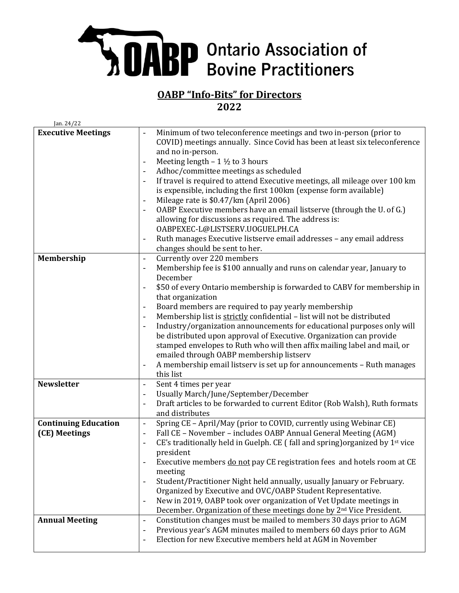## **SABP** Ontario Association of

## **OABP "Info-Bits" for Directors 2022**

| Jan. 24/22                  |                                                                                                                                                                                                                                                                                                                                                                                                                                                                                                                                                                                                                                                                                                                                                                                              |
|-----------------------------|----------------------------------------------------------------------------------------------------------------------------------------------------------------------------------------------------------------------------------------------------------------------------------------------------------------------------------------------------------------------------------------------------------------------------------------------------------------------------------------------------------------------------------------------------------------------------------------------------------------------------------------------------------------------------------------------------------------------------------------------------------------------------------------------|
| <b>Executive Meetings</b>   | Minimum of two teleconference meetings and two in-person (prior to<br>COVID) meetings annually. Since Covid has been at least six teleconference<br>and no in-person.<br>Meeting length $-1 \frac{1}{2}$ to 3 hours<br>$\overline{\phantom{0}}$<br>Adhoc/committee meetings as scheduled<br>If travel is required to attend Executive meetings, all mileage over 100 km<br>is expensible, including the first 100km (expense form available)<br>Mileage rate is \$0.47/km (April 2006)<br>OABP Executive members have an email listserve (through the U. of G.)<br>allowing for discussions as required. The address is:<br>OABPEXEC-L@LISTSERV.UOGUELPH.CA<br>Ruth manages Executive listserve email addresses - any email address<br>changes should be sent to her.                        |
| Membership                  | Currently over 220 members<br>$\overline{\phantom{0}}$<br>Membership fee is \$100 annually and runs on calendar year, January to<br>$\overline{a}$<br>December<br>\$50 of every Ontario membership is forwarded to CABV for membership in<br>that organization<br>Board members are required to pay yearly membership<br>Membership list is strictly confidential - list will not be distributed<br>Industry/organization announcements for educational purposes only will<br>be distributed upon approval of Executive. Organization can provide<br>stamped envelopes to Ruth who will then affix mailing label and mail, or<br>emailed through OABP membership listserv<br>A membership email listserv is set up for announcements - Ruth manages<br>$\overline{\phantom{0}}$<br>this list |
| <b>Newsletter</b>           | Sent 4 times per year<br>$\overline{\phantom{0}}$                                                                                                                                                                                                                                                                                                                                                                                                                                                                                                                                                                                                                                                                                                                                            |
|                             | Usually March/June/September/December<br>$\overline{a}$<br>Draft articles to be forwarded to current Editor (Rob Walsh), Ruth formats<br>$\overline{\phantom{a}}$<br>and distributes                                                                                                                                                                                                                                                                                                                                                                                                                                                                                                                                                                                                         |
| <b>Continuing Education</b> | Spring CE - April/May (prior to COVID, currently using Webinar CE)<br>$\overline{\phantom{a}}$                                                                                                                                                                                                                                                                                                                                                                                                                                                                                                                                                                                                                                                                                               |
| (CE) Meetings               | Fall CE - November - includes OABP Annual General Meeting (AGM)<br>$\qquad \qquad \blacksquare$<br>CE's traditionally held in Guelph. CE (fall and spring) organized by 1 <sup>st</sup> vice<br>president<br>Executive members do not pay CE registration fees and hotels room at CE<br>meeting<br>Student/Practitioner Night held annually, usually January or February.<br>Organized by Executive and OVC/OABP Student Representative.<br>New in 2019, OABP took over organization of Vet Update meetings in<br>$\overline{\phantom{0}}$<br>December. Organization of these meetings done by 2 <sup>nd</sup> Vice President.                                                                                                                                                               |
| <b>Annual Meeting</b>       | Constitution changes must be mailed to members 30 days prior to AGM<br>$\overline{\phantom{a}}$<br>Previous year's AGM minutes mailed to members 60 days prior to AGM<br>$\qquad \qquad -$<br>Election for new Executive members held at AGM in November<br>$\overline{\phantom{a}}$                                                                                                                                                                                                                                                                                                                                                                                                                                                                                                         |